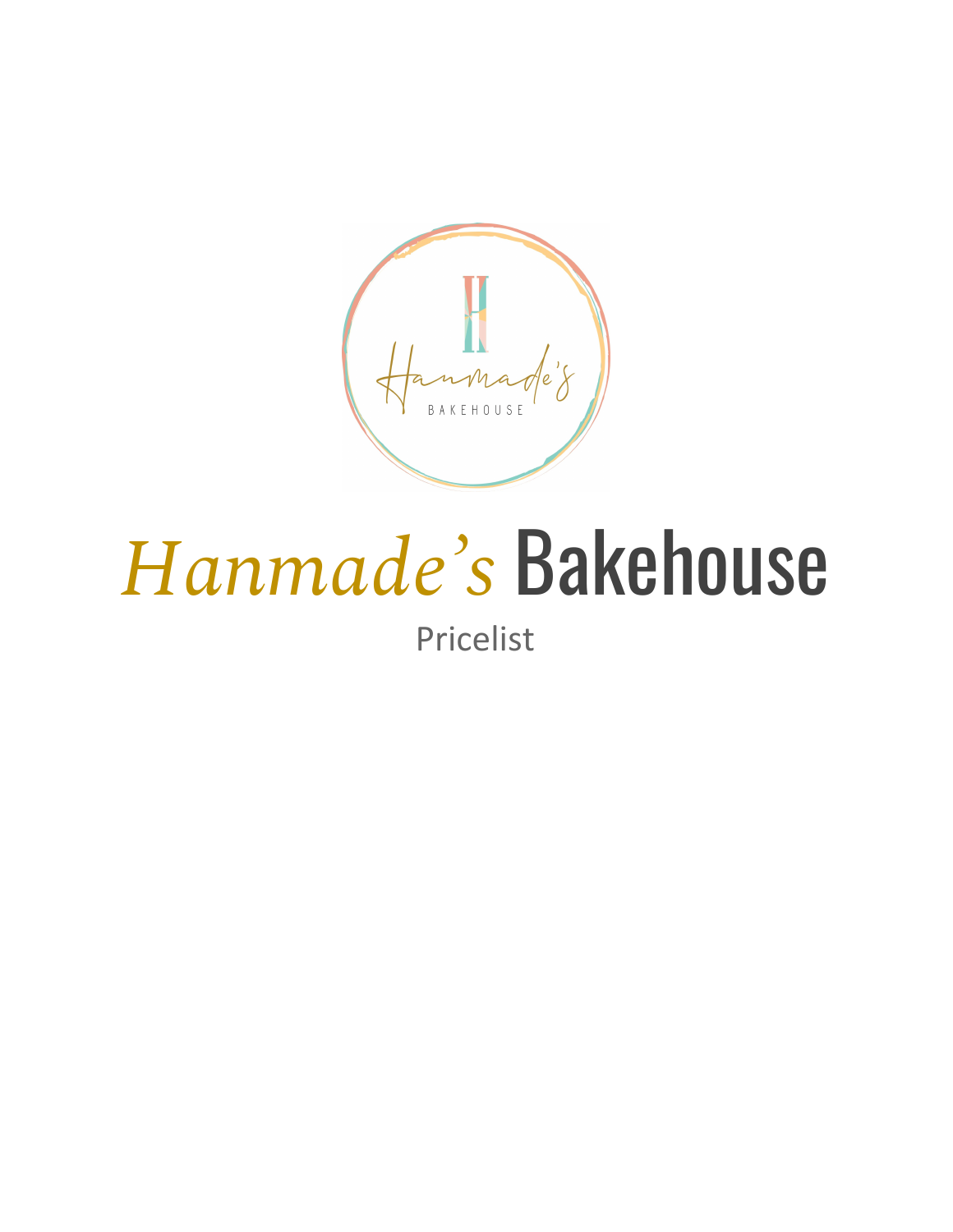$\mathcal{C}'$ OUSE

# *Hanmade ' s* Bakehouse

Pricelist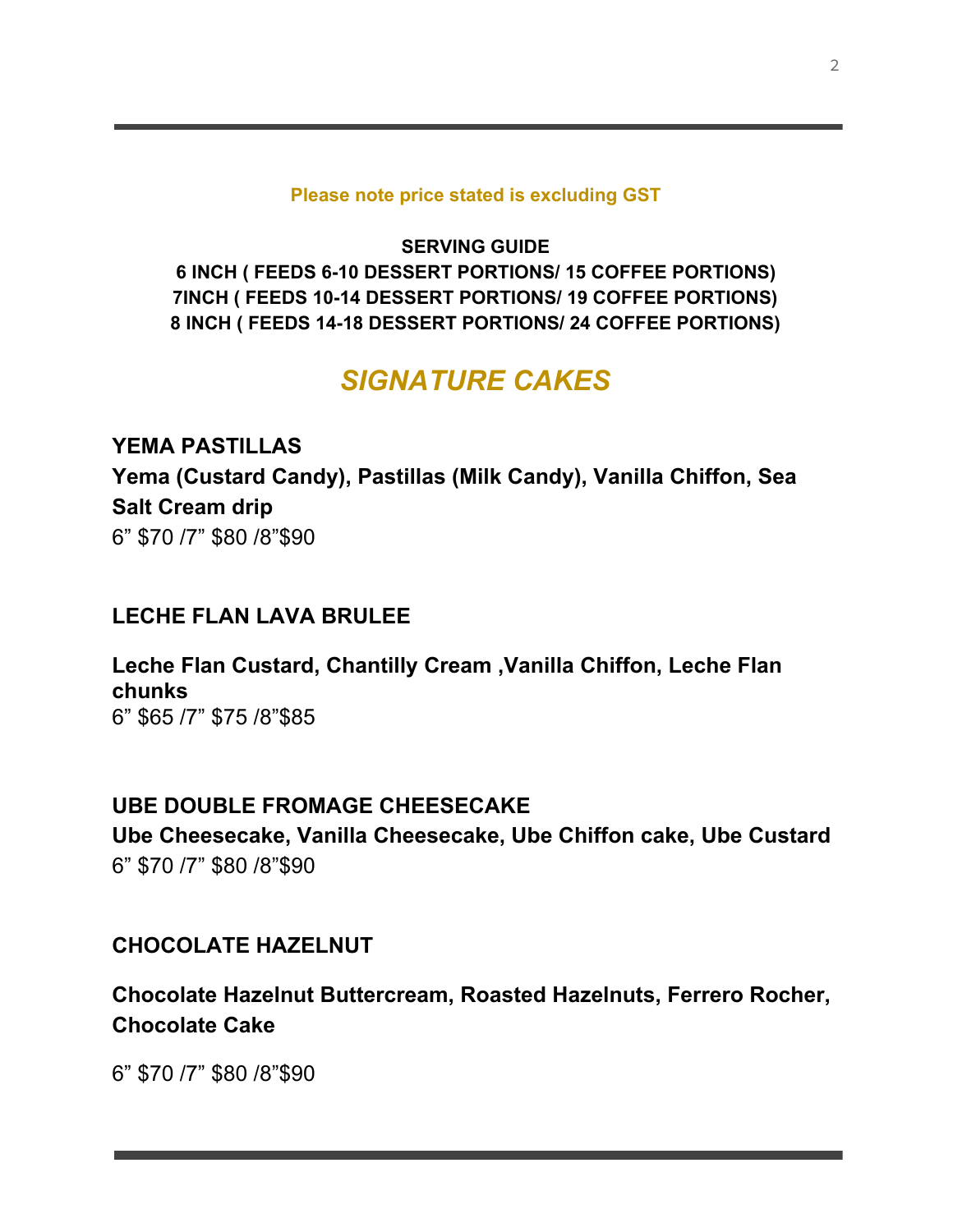#### **Please note price stated is excluding GST**

**SERVING GUIDE 6 INCH ( FEEDS 6-10 DESSERT PORTIONS/ 15 COFFEE PORTIONS) 7INCH ( FEEDS 10-14 DESSERT PORTIONS/ 19 COFFEE PORTIONS) 8 INCH ( FEEDS 14-18 DESSERT PORTIONS/ 24 COFFEE PORTIONS)**

## *SIGNATURE CAKES*

**YEMA PASTILLAS Yema (Custard Candy), Pastillas (Milk Candy), Vanilla Chiffon, Sea Salt Cream drip** 6" \$70 /7" \$80 /8"\$90

#### **LECHE FLAN LAVA BRULEE**

**Leche Flan Custard, Chantilly Cream ,Vanilla Chiffon, Leche Flan chunks** 6" \$65 /7" \$75 /8"\$85

#### **UBE DOUBLE FROMAGE CHEESECAKE**

**Ube Cheesecake, Vanilla Cheesecake, Ube Chiffon cake, Ube Custard** 6" \$70 /7" \$80 /8"\$90

#### **CHOCOLATE HAZELNUT**

**Chocolate Hazelnut Buttercream, Roasted Hazelnuts, Ferrero Rocher, Chocolate Cake**

6" \$70 /7" \$80 /8"\$90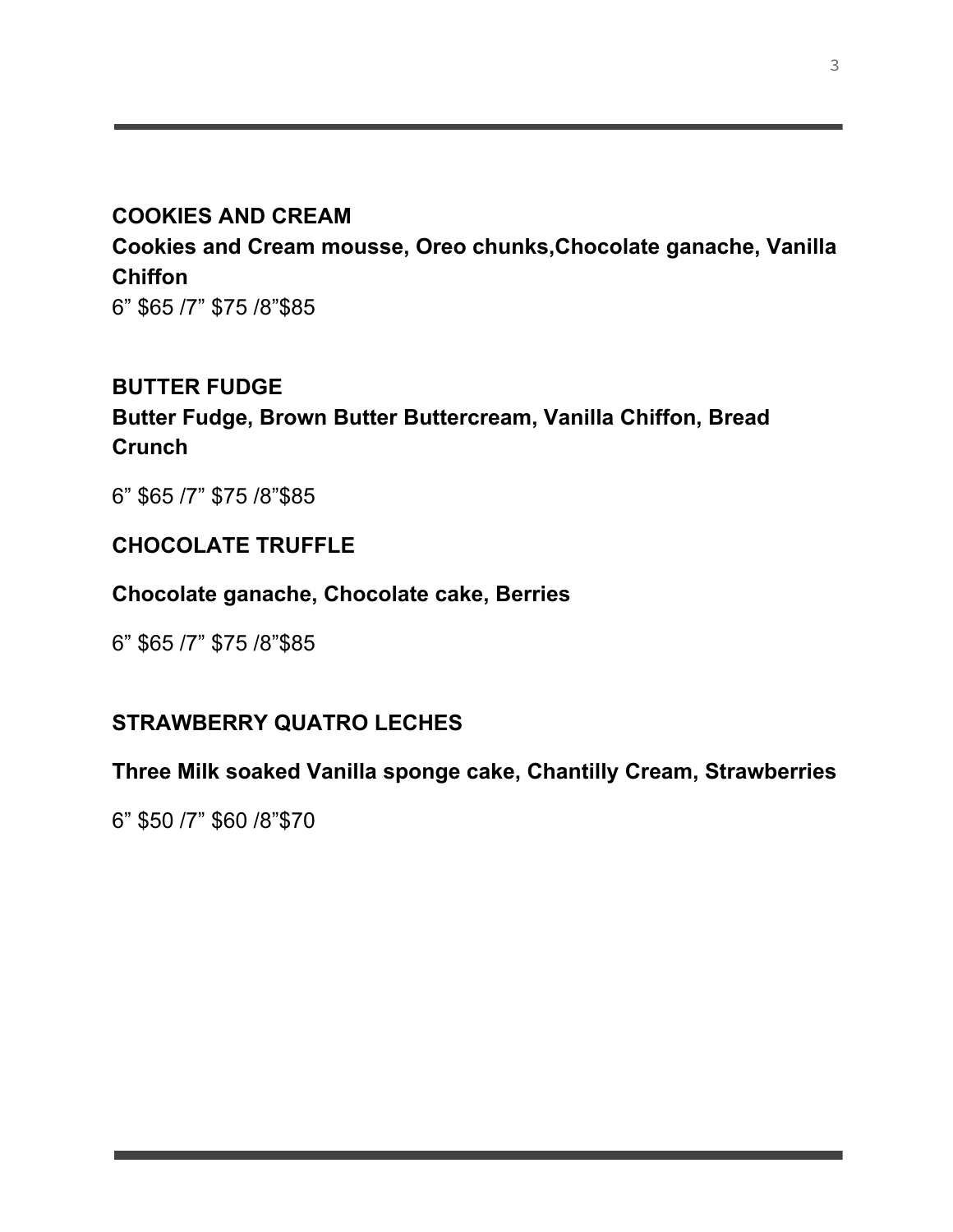## **COOKIES AND CREAM**

**Cookies and Cream mousse, Oreo chunks,Chocolate ganache, Vanilla Chiffon**

6" \$65 /7" \$75 /8"\$85

#### **BUTTER FUDGE**

**Butter Fudge, Brown Butter Buttercream, Vanilla Chiffon, Bread Crunch**

6" \$65 /7" \$75 /8"\$85

## **CHOCOLATE TRUFFLE**

#### **Chocolate ganache, Chocolate cake, Berries**

6" \$65 /7" \$75 /8"\$85

#### **STRAWBERRY QUATRO LECHES**

#### **Three Milk soaked Vanilla sponge cake, Chantilly Cream, Strawberries**

6" \$50 /7" \$60 /8"\$70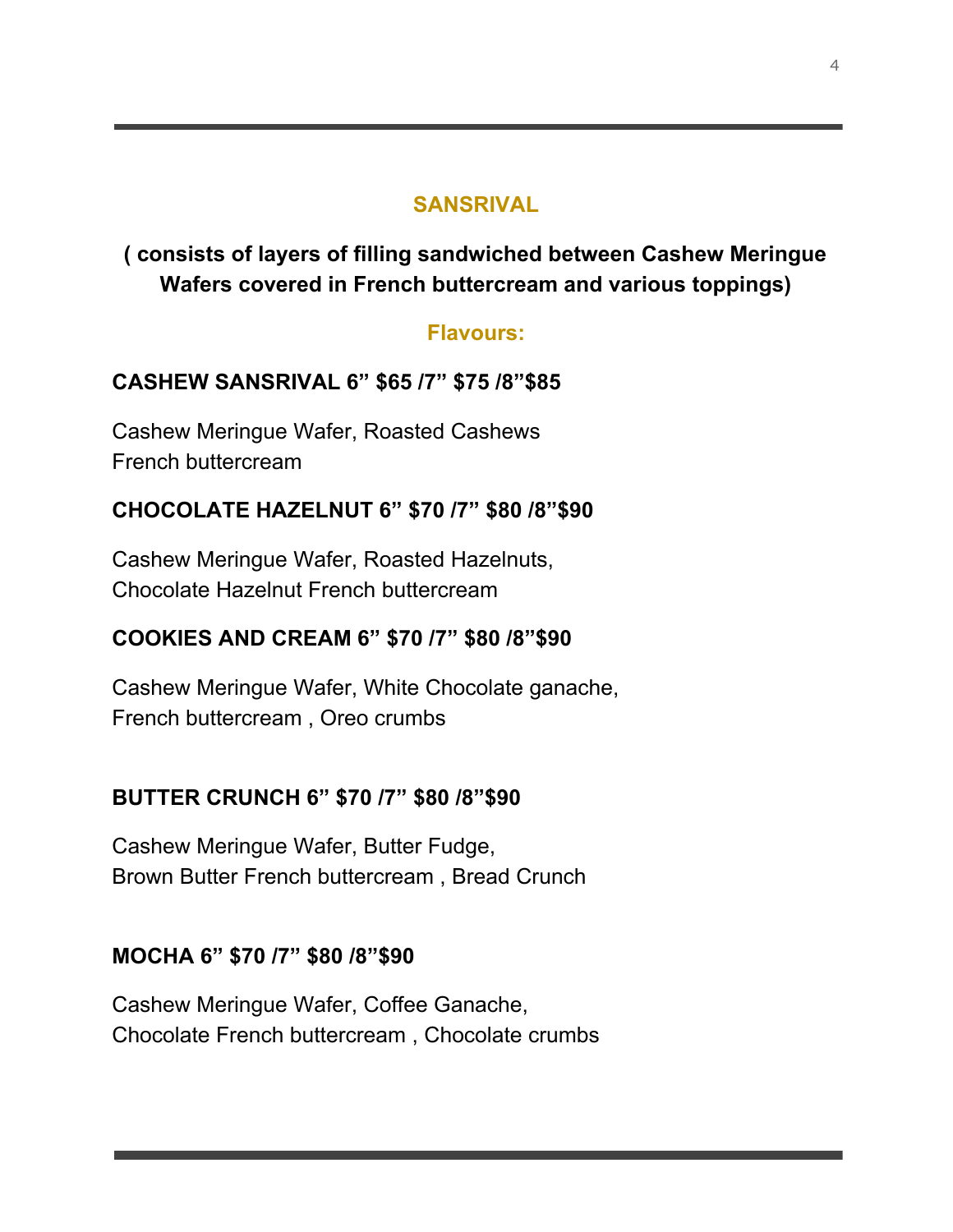#### **SANSRIVAL**

**( consists of layers of filling sandwiched between Cashew Meringue Wafers covered in French buttercream and various toppings)**

#### **Flavours:**

## **CASHEW SANSRIVAL 6" \$65 /7" \$75 /8"\$85**

Cashew Meringue Wafer, Roasted Cashews French buttercream

## **CHOCOLATE HAZELNUT 6" \$70 /7" \$80 /8"\$90**

Cashew Meringue Wafer, Roasted Hazelnuts, Chocolate Hazelnut French buttercream

#### **COOKIES AND CREAM 6" \$70 /7" \$80 /8"\$90**

Cashew Meringue Wafer, White Chocolate ganache, French buttercream , Oreo crumbs

#### **BUTTER CRUNCH 6" \$70 /7" \$80 /8"\$90**

Cashew Meringue Wafer, Butter Fudge, Brown Butter French buttercream , Bread Crunch

#### **MOCHA 6" \$70 /7" \$80 /8"\$90**

Cashew Meringue Wafer, Coffee Ganache, Chocolate French buttercream , Chocolate crumbs